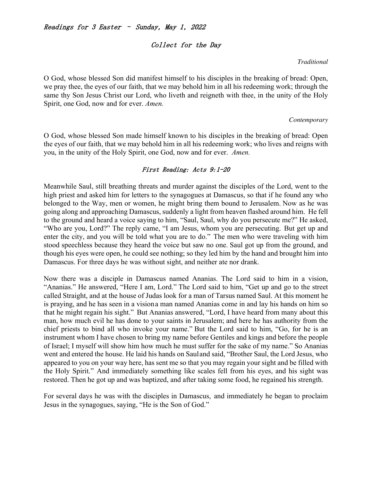## Collect for the Day

*Traditional* !

O God, whose blessed Son did manifest himself to his disciples in the breaking of bread: Open, we pray thee, the eyes of our faith, that we may behold him in all his redeeming work; through the same thy Son Jesus Christ our Lord, who liveth and reigneth with thee, in the unity of the Holy Spirit, one God, now and for ever. *Amen.*

*Contemporary* 

O God, whose blessed Son made himself known to his disciples in the breaking of bread: Open the eyes of our faith, that we may behold him in all his redeeming work; who lives and reigns with you, in the unity of the Holy Spirit, one God, now and for ever. *Amen.*

## First Reading: Acts  $9:1-20$

Meanwhile Saul, still breathing threats and murder against the disciples of the Lord, went to the high priest and asked him for letters to the synagogues at Damascus, so that if he found any who belonged to the Way, men or women, he might bring them bound to Jerusalem. Now as he was going along and approaching Damascus, suddenly a light from heaven flashed around him. He fell to the ground and heard a voice saying to him, "Saul, Saul, why do you persecute me?" He asked, "Who are you, Lord?" The reply came, "I am Jesus, whom you are persecuting. But get up and enter the city, and you will be told what you are to do." The men who were traveling with him stood speechless because they heard the voice but saw no one. Saul got up from the ground, and though his eyes were open, he could see nothing; so they led him by the hand and brought him into Damascus. For three days he was without sight, and neither ate nor drank.

Now there was a disciple in Damascus named Ananias. The Lord said to him in a vision, "Ananias." He answered, "Here I am, Lord." The Lord said to him, "Get up and go to the street called Straight, and at the house of Judas look for a man of Tarsus named Saul. At this moment he is praying, and he has seen in a visiona man named Ananias come in and lay his hands on him so that he might regain his sight." But Ananias answered, "Lord, I have heard from many about this man, how much evil he has done to your saints in Jerusalem; and here he has authority from the chief priests to bind all who invoke your name." But the Lord said to him, "Go, for he is an instrument whom I have chosen to bring my name before Gentiles and kings and before the people of Israel; I myself will show him how much he must suffer for the sake of my name." So Ananias went and entered the house. He laid his hands on Sauland said, "Brother Saul, the Lord Jesus, who appeared to you on your way here, has sent me so that you may regain your sight and be filled with the Holy Spirit." And immediately something like scales fell from his eyes, and his sight was restored. Then he got up and was baptized, and after taking some food, he regained his strength.

For several days he was with the disciples in Damascus, and immediately he began to proclaim Jesus in the synagogues, saying, "He is the Son of God."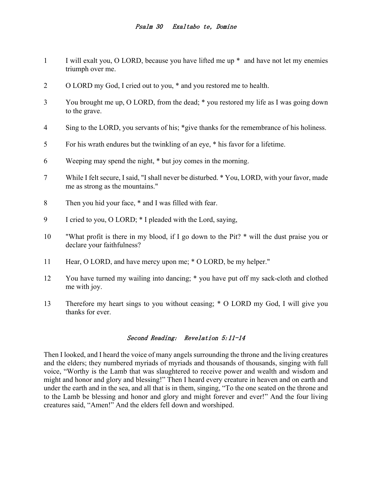- 1 I will exalt you, O LORD, because you have lifted me up \* and have not let my enemies triumph over me.
- 2 O LORD my God, I cried out to you, \* and you restored me to health.
- 3 You brought me up, O LORD, from the dead; \* you restored my life as I was going down to the grave.
- 4 Sing to the LORD, you servants of his; \*give thanks for the remembrance of his holiness.
- 5 For his wrath endures but the twinkling of an eye, \* his favor for a lifetime.
- 6 Weeping may spend the night, \* but joy comes in the morning.
- 7 While I felt secure, I said, "I shall never be disturbed. \* You, LORD, with your favor, made me as strong as the mountains."
- 8 Then you hid your face, \* and I was filled with fear.
- 9 I cried to you, O LORD; \* I pleaded with the Lord, saying,
- 10 "What profit is there in my blood, if I go down to the Pit? \* will the dust praise you or declare your faithfulness?
- 11 Hear, O LORD, and have mercy upon me; \* O LORD, be my helper."
- 12 You have turned my wailing into dancing; \* you have put off my sack-cloth and clothed me with joy.
- 13 Therefore my heart sings to you without ceasing; \* O LORD my God, I will give you thanks for ever.

## Second Reading: Revelation 5:11-14

Then I looked, and I heard the voice of many angels surrounding the throne and the living creatures and the elders; they numbered myriads of myriads and thousands of thousands, singing with full voice, "Worthy is the Lamb that was slaughtered to receive power and wealth and wisdom and might and honor and glory and blessing!" Then I heard every creature in heaven and on earth and under the earth and in the sea, and all that is in them, singing, "To the one seated on the throne and to the Lamb be blessing and honor and glory and might forever and ever!" And the four living creatures said, "Amen!" And the elders fell down and worshiped.)